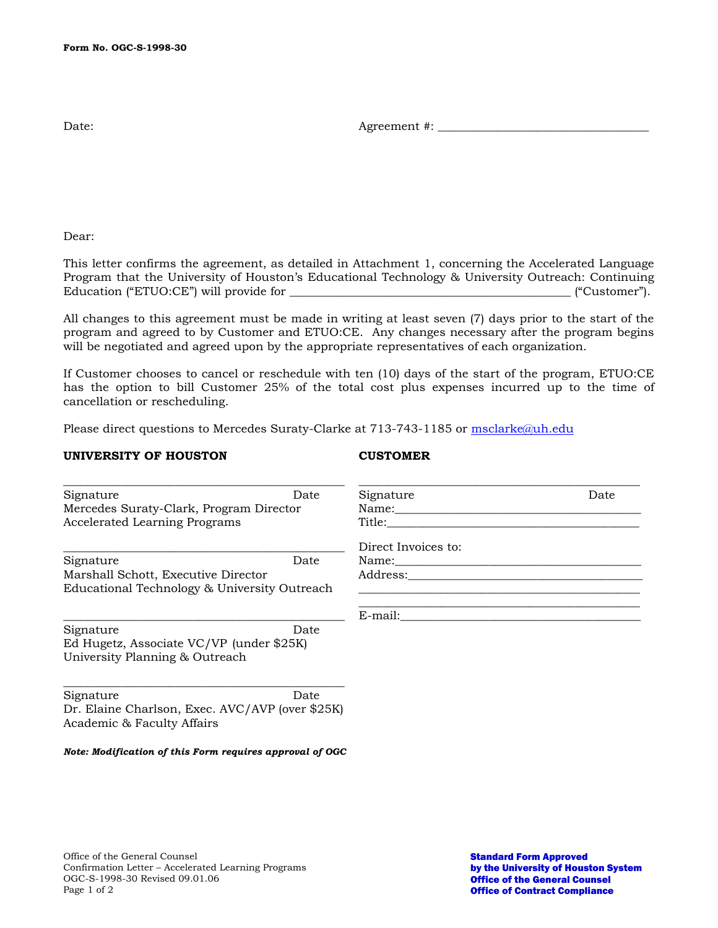Date: Agreement #: \_\_\_\_\_\_\_\_\_\_\_\_\_\_\_\_\_\_\_\_\_\_\_\_\_\_\_\_\_\_\_\_\_\_\_\_

Dear:

This letter confirms the agreement, as detailed in Attachment 1, concerning the Accelerated Language Program that the University of Houston's Educational Technology & University Outreach: Continuing Education ("ETUO:CE") will provide for  $\blacksquare$ 

All changes to this agreement must be made in writing at least seven (7) days prior to the start of the program and agreed to by Customer and ETUO:CE. Any changes necessary after the program begins will be negotiated and agreed upon by the appropriate representatives of each organization.

If Customer chooses to cancel or reschedule with ten (10) days of the start of the program, ETUO:CE has the option to bill Customer 25% of the total cost plus expenses incurred up to the time of cancellation or rescheduling.

Please direct questions to Mercedes Suraty-Clarke at 713-743-1185 or [msclarke@uh.edu](mailto:msclarke@uh.edu)

## **UNIVERSITY OF HOUSTON CUSTOMER**

| Signature                                                    | Date | Signature                                                                                                                                                                                                                      | Date |
|--------------------------------------------------------------|------|--------------------------------------------------------------------------------------------------------------------------------------------------------------------------------------------------------------------------------|------|
| Mercedes Suraty-Clark, Program Director                      |      | Name:                                                                                                                                                                                                                          |      |
| <b>Accelerated Learning Programs</b>                         |      | Title:                                                                                                                                                                                                                         |      |
|                                                              |      | Direct Invoices to:                                                                                                                                                                                                            |      |
| Signature                                                    | Date | Name: when the contract of the contract of the contract of the contract of the contract of the contract of the contract of the contract of the contract of the contract of the contract of the contract of the contract of the |      |
| Marshall Schott, Executive Director                          |      | Address: and the set of the set of the set of the set of the set of the set of the set of the set of the set o                                                                                                                 |      |
| Educational Technology & University Outreach                 |      |                                                                                                                                                                                                                                |      |
|                                                              |      | E-mail:                                                                                                                                                                                                                        |      |
| Signature                                                    | Date |                                                                                                                                                                                                                                |      |
| Ed Hugetz, Associate VC/VP (under \$25K)                     |      |                                                                                                                                                                                                                                |      |
| University Planning & Outreach                               |      |                                                                                                                                                                                                                                |      |
| Signature<br>Dr. Elaine Charlson, Exec. AVC/AVP (over \$25K) | Date |                                                                                                                                                                                                                                |      |
| Academic & Faculty Affairs                                   |      |                                                                                                                                                                                                                                |      |

*Note: Modification of this Form requires approval of OGC*